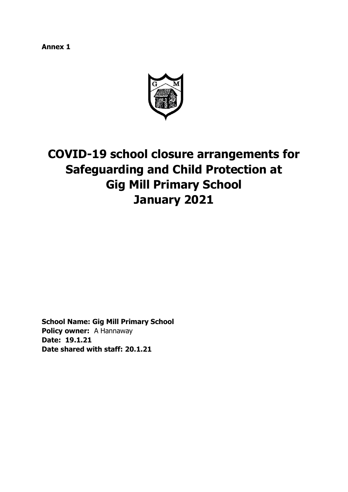**Annex 1** 



# **COVID-19 school closure arrangements for Safeguarding and Child Protection at Gig Mill Primary School January 2021**

**School Name: Gig Mill Primary School Policy owner:** A Hannaway **Date: 19.1.21 Date shared with staff: 20.1.21**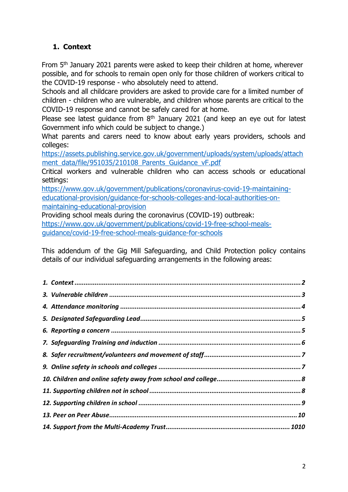# <span id="page-1-0"></span>**1. Context**

From 5<sup>th</sup> January 2021 parents were asked to keep their children at home, wherever possible, and for schools to remain open only for those children of workers critical to the COVID-19 response - who absolutely need to attend.

Schools and all childcare providers are asked to provide care for a limited number of children - children who are vulnerable, and children whose parents are critical to the COVID-19 response and cannot be safely cared for at home.

Please see latest guidance from  $8<sup>th</sup>$  January 2021 (and keep an eye out for latest Government info which could be subject to change.)

What parents and carers need to know about early years providers, schools and colleges:

[https://assets.publishing.service.gov.uk/government/uploads/system/uploads/attach](https://assets.publishing.service.gov.uk/government/uploads/system/uploads/attachment_data/file/951035/210108_Parents_Guidance_vF.pdf) [ment\\_data/file/951035/210108\\_Parents\\_Guidance\\_vF.pdf](https://assets.publishing.service.gov.uk/government/uploads/system/uploads/attachment_data/file/951035/210108_Parents_Guidance_vF.pdf)

Critical workers and vulnerable children who can access schools or educational settings:

[https://www.gov.uk/government/publications/coronavirus-covid-19-maintaining](https://www.gov.uk/government/publications/coronavirus-covid-19-maintaining-educational-provision/guidance-for-schools-colleges-and-local-authorities-on-maintaining-educational-provision)[educational-provision/guidance-for-schools-colleges-and-local-authorities-on](https://www.gov.uk/government/publications/coronavirus-covid-19-maintaining-educational-provision/guidance-for-schools-colleges-and-local-authorities-on-maintaining-educational-provision)[maintaining-educational-provision](https://www.gov.uk/government/publications/coronavirus-covid-19-maintaining-educational-provision/guidance-for-schools-colleges-and-local-authorities-on-maintaining-educational-provision)

Providing school meals during the coronavirus (COVID-19) outbreak: [https://www.gov.uk/government/publications/covid-19-free-school-meals](https://www.gov.uk/government/publications/covid-19-free-school-meals-guidance/covid-19-free-school-meals-guidance-for-schools)[guidance/covid-19-free-school-meals-guidance-for-schools](https://www.gov.uk/government/publications/covid-19-free-school-meals-guidance/covid-19-free-school-meals-guidance-for-schools)

This addendum of the Gig Mill Safeguarding, and Child Protection policy contains details of our individual safeguarding arrangements in the following areas: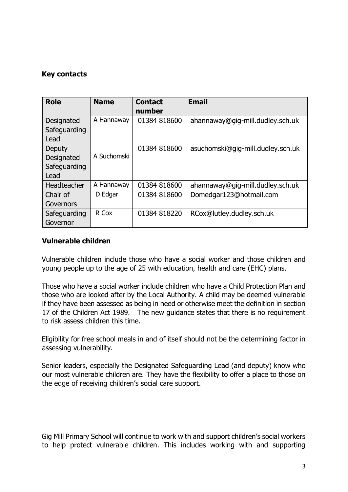## **Key contacts**

| <b>Role</b>                                  | <b>Name</b> | <b>Contact</b><br>number | <b>Email</b>                      |
|----------------------------------------------|-------------|--------------------------|-----------------------------------|
| Designated<br>Safeguarding<br>Lead           | A Hannaway  | 01384 818600             | ahannaway@gig-mill.dudley.sch.uk  |
| Deputy<br>Designated<br>Safeguarding<br>Lead | A Suchomski | 01384 818600             | asuchomski@gig-mill.dudley.sch.uk |
| Headteacher                                  | A Hannaway  | 01384 818600             | ahannaway@gig-mill.dudley.sch.uk  |
| Chair of<br>Governors                        | D Edgar     | 01384 818600             | Domedgar123@hotmail.com           |
| Safeguarding<br>Governor                     | R Cox       | 01384 818220             | RCox@lutley.dudley.sch.uk         |

## <span id="page-2-0"></span>**Vulnerable children**

Vulnerable children include those who have a social worker and those children and young people up to the age of 25 with education, health and care (EHC) plans.

Those who have a social worker include children who have a Child Protection Plan and those who are looked after by the Local Authority. A child may be deemed vulnerable if they have been assessed as being in need or otherwise meet the definition in section 17 of the Children Act 1989. The new guidance states that there is no requirement to risk assess children this time.

Eligibility for free school meals in and of itself should not be the determining factor in assessing vulnerability.

Senior leaders, especially the Designated Safeguarding Lead (and deputy) know who our most vulnerable children are. They have the flexibility to offer a place to those on the edge of receiving children's social care support.

Gig Mill Primary School will continue to work with and support children's social workers to help protect vulnerable children. This includes working with and supporting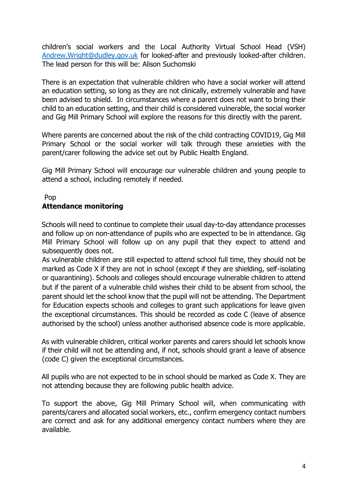children's social workers and the Local Authority Virtual School Head (VSH) [Andrew.Wright@dudley.gov.uk](mailto:Andrew.Wright@dudley.gov.uk) for looked-after and previously looked-after children. The lead person for this will be: Alison Suchomski

There is an expectation that vulnerable children who have a social worker will attend an education setting, so long as they are not clinically, extremely vulnerable and have been advised to shield. In circumstances where a parent does not want to bring their child to an education setting, and their child is considered vulnerable, the social worker and Gig Mill Primary School will explore the reasons for this directly with the parent.

Where parents are concerned about the risk of the child contracting COVID19, Gig Mill Primary School or the social worker will talk through these anxieties with the parent/carer following the advice set out by Public Health England.

Gig Mill Primary School will encourage our vulnerable children and young people to attend a school, including remotely if needed.

#### Pop

#### <span id="page-3-0"></span>**Attendance monitoring**

Schools will need to continue to complete their usual day-to-day attendance processes and follow up on non-attendance of pupils who are expected to be in attendance. Gig Mill Primary School will follow up on any pupil that they expect to attend and subsequently does not.

As vulnerable children are still expected to attend school full time, they should not be marked as Code X if they are not in school (except if they are shielding, self-isolating or quarantining). Schools and colleges should encourage vulnerable children to attend but if the parent of a vulnerable child wishes their child to be absent from school, the parent should let the school know that the pupil will not be attending. The Department for Education expects schools and colleges to grant such applications for leave given the exceptional circumstances. This should be recorded as code C (leave of absence authorised by the school) unless another authorised absence code is more applicable.

As with vulnerable children, critical worker parents and carers should let schools know if their child will not be attending and, if not, schools should grant a leave of absence (code C) given the exceptional circumstances.

All pupils who are not expected to be in school should be marked as Code X. They are not attending because they are following public health advice.

To support the above, Gig Mill Primary School will, when communicating with parents/carers and allocated social workers, etc., confirm emergency contact numbers are correct and ask for any additional emergency contact numbers where they are available.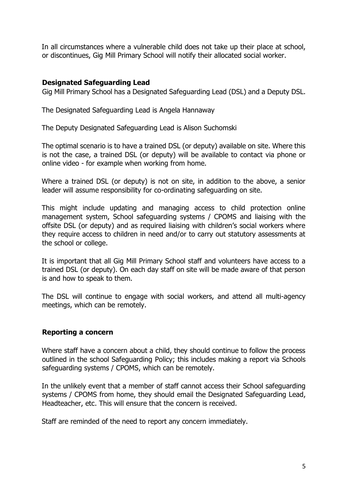In all circumstances where a vulnerable child does not take up their place at school, or discontinues, Gig Mill Primary School will notify their allocated social worker.

### <span id="page-4-0"></span>**Designated Safeguarding Lead**

Gig Mill Primary School has a Designated Safeguarding Lead (DSL) and a Deputy DSL.

The Designated Safeguarding Lead is Angela Hannaway

The Deputy Designated Safeguarding Lead is Alison Suchomski

The optimal scenario is to have a trained DSL (or deputy) available on site. Where this is not the case, a trained DSL (or deputy) will be available to contact via phone or online video - for example when working from home.

Where a trained DSL (or deputy) is not on site, in addition to the above, a senior leader will assume responsibility for co-ordinating safeguarding on site.

This might include updating and managing access to child protection online management system, School safeguarding systems / CPOMS and liaising with the offsite DSL (or deputy) and as required liaising with children's social workers where they require access to children in need and/or to carry out statutory assessments at the school or college.

It is important that all Gig Mill Primary School staff and volunteers have access to a trained DSL (or deputy). On each day staff on site will be made aware of that person is and how to speak to them.

The DSL will continue to engage with social workers, and attend all multi-agency meetings, which can be remotely.

#### <span id="page-4-1"></span>**Reporting a concern**

Where staff have a concern about a child, they should continue to follow the process outlined in the school Safeguarding Policy; this includes making a report via Schools safeguarding systems / CPOMS, which can be remotely.

In the unlikely event that a member of staff cannot access their School safeguarding systems / CPOMS from home, they should email the Designated Safeguarding Lead, Headteacher, etc. This will ensure that the concern is received.

Staff are reminded of the need to report any concern immediately.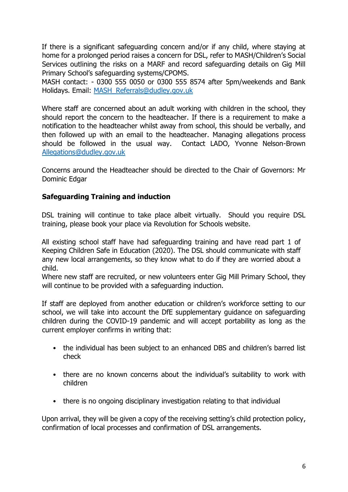If there is a significant safeguarding concern and/or if any child, where staying at home for a prolonged period raises a concern for DSL, refer to MASH/Children's Social Services outlining the risks on a MARF and record safeguarding details on Gig Mill Primary School's safeguarding systems/CPOMS.

MASH contact: - 0300 555 0050 or 0300 555 8574 after 5pm/weekends and Bank Holidays. Email: [MASH\\_Referrals@dudley.gov.uk](mailto:MASH_Referrals@dudley.gov.uk)

Where staff are concerned about an adult working with children in the school, they should report the concern to the headteacher. If there is a requirement to make a notification to the headteacher whilst away from school, this should be verbally, and then followed up with an email to the headteacher. Managing allegations process should be followed in the usual way. Contact LADO, Yvonne Nelson-Brown [Allegations@dudley.gov.uk](mailto:Allegations@dudley.gov.uk)

Concerns around the Headteacher should be directed to the Chair of Governors: Mr Dominic Edgar

## <span id="page-5-0"></span>**Safeguarding Training and induction**

DSL training will continue to take place albeit virtually. Should you require DSL training, please book your place via Revolution for Schools website.

All existing school staff have had safeguarding training and have read part 1 of Keeping Children Safe in Education (2020). The DSL should communicate with staff any new local arrangements, so they know what to do if they are worried about a child.

Where new staff are recruited, or new volunteers enter Gig Mill Primary School, they will continue to be provided with a safeguarding induction.

If staff are deployed from another education or children's workforce setting to our school, we will take into account the DfE supplementary guidance on safeguarding children during the COVID-19 pandemic and will accept portability as long as the current employer confirms in writing that:

- the individual has been subject to an enhanced DBS and children's barred list check
- there are no known concerns about the individual's suitability to work with children
- there is no ongoing disciplinary investigation relating to that individual

Upon arrival, they will be given a copy of the receiving setting's child protection policy, confirmation of local processes and confirmation of DSL arrangements.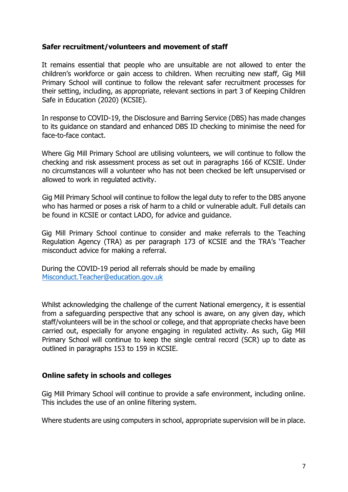#### <span id="page-6-0"></span>**Safer recruitment/volunteers and movement of staff**

It remains essential that people who are unsuitable are not allowed to enter the children's workforce or gain access to children. When recruiting new staff, Gig Mill Primary School will continue to follow the relevant safer recruitment processes for their setting, including, as appropriate, relevant sections in part 3 of Keeping Children Safe in Education (2020) (KCSIE).

In response to COVID-19, the Disclosure and Barring Service (DBS) has made changes to its guidance on standard and enhanced DBS ID checking to minimise the need for face-to-face contact.

Where Gig Mill Primary School are utilising volunteers, we will continue to follow the checking and risk assessment process as set out in paragraphs 166 of KCSIE. Under no circumstances will a volunteer who has not been checked be left unsupervised or allowed to work in regulated activity.

Gig Mill Primary School will continue to follow the legal duty to refer to the DBS anyone who has harmed or poses a risk of harm to a child or vulnerable adult. Full details can be found in KCSIE or contact LADO, for advice and guidance.

Gig Mill Primary School continue to consider and make referrals to the Teaching Regulation Agency (TRA) as per paragraph 173 of KCSIE and the TRA's 'Teacher misconduct advice for making a referral.

During the COVID-19 period all referrals should be made by emailing Misconduct.Teacher@education.gov.uk

Whilst acknowledging the challenge of the current National emergency, it is essential from a safeguarding perspective that any school is aware, on any given day, which staff/volunteers will be in the school or college, and that appropriate checks have been carried out, especially for anyone engaging in regulated activity. As such, Gig Mill Primary School will continue to keep the single central record (SCR) up to date as outlined in paragraphs 153 to 159 in KCSIE.

#### <span id="page-6-1"></span>**Online safety in schools and colleges**

Gig Mill Primary School will continue to provide a safe environment, including online. This includes the use of an online filtering system.

Where students are using computers in school, appropriate supervision will be in place.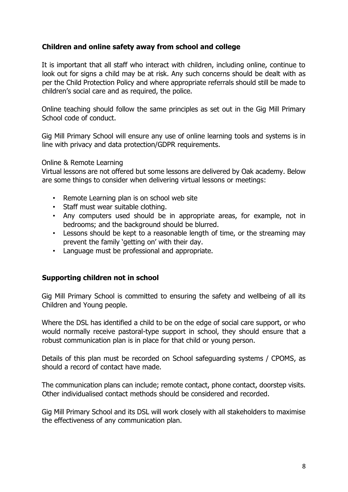## <span id="page-7-0"></span>**Children and online safety away from school and college**

It is important that all staff who interact with children, including online, continue to look out for signs a child may be at risk. Any such concerns should be dealt with as per the Child Protection Policy and where appropriate referrals should still be made to children's social care and as required, the police.

Online teaching should follow the same principles as set out in the Gig Mill Primary School code of conduct.

Gig Mill Primary School will ensure any use of online learning tools and systems is in line with privacy and data protection/GDPR requirements.

#### Online & Remote Learning

Virtual lessons are not offered but some lessons are delivered by Oak academy. Below are some things to consider when delivering virtual lessons or meetings:

- Remote Learning plan is on school web site
- Staff must wear suitable clothing.
- Any computers used should be in appropriate areas, for example, not in bedrooms; and the background should be blurred.
- Lessons should be kept to a reasonable length of time, or the streaming may prevent the family 'getting on' with their day.
- Language must be professional and appropriate.

#### <span id="page-7-1"></span>**Supporting children not in school**

Gig Mill Primary School is committed to ensuring the safety and wellbeing of all its Children and Young people.

Where the DSL has identified a child to be on the edge of social care support, or who would normally receive pastoral-type support in school, they should ensure that a robust communication plan is in place for that child or young person.

Details of this plan must be recorded on School safeguarding systems / CPOMS, as should a record of contact have made.

The communication plans can include; remote contact, phone contact, doorstep visits. Other individualised contact methods should be considered and recorded.

Gig Mill Primary School and its DSL will work closely with all stakeholders to maximise the effectiveness of any communication plan.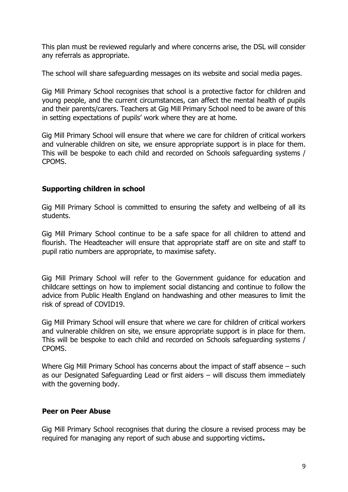This plan must be reviewed regularly and where concerns arise, the DSL will consider any referrals as appropriate.

The school will share safeguarding messages on its website and social media pages.

Gig Mill Primary School recognises that school is a protective factor for children and young people, and the current circumstances, can affect the mental health of pupils and their parents/carers. Teachers at Gig Mill Primary School need to be aware of this in setting expectations of pupils' work where they are at home.

Gig Mill Primary School will ensure that where we care for children of critical workers and vulnerable children on site, we ensure appropriate support is in place for them. This will be bespoke to each child and recorded on Schools safeguarding systems / CPOMS.

## <span id="page-8-0"></span>**Supporting children in school**

Gig Mill Primary School is committed to ensuring the safety and wellbeing of all its students.

Gig Mill Primary School continue to be a safe space for all children to attend and flourish. The Headteacher will ensure that appropriate staff are on site and staff to pupil ratio numbers are appropriate, to maximise safety.

Gig Mill Primary School will refer to the Government guidance for education and childcare settings on how to implement social distancing and continue to follow the advice from Public Health England on handwashing and other measures to limit the risk of spread of COVID19.

Gig Mill Primary School will ensure that where we care for children of critical workers and vulnerable children on site, we ensure appropriate support is in place for them. This will be bespoke to each child and recorded on Schools safeguarding systems / CPOMS.

Where Gig Mill Primary School has concerns about the impact of staff absence – such as our Designated Safeguarding Lead or first aiders – will discuss them immediately with the governing body.

## <span id="page-8-1"></span>**Peer on Peer Abuse**

Gig Mill Primary School recognises that during the closure a revised process may be required for managing any report of such abuse and supporting victims**.**